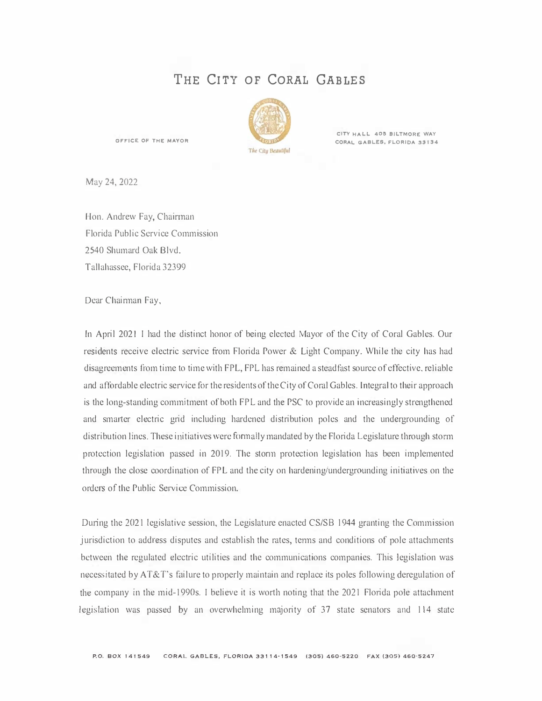## **THE CITY OF CORAL GABLES**



**CITY HALL 405 BILTMORE WAY OFFICE OF THE MAYOR CORAL GABLES, FLORIDA 33134** 

May 24, 2022

Hon. Andrew Fay, Chairman Florida Public Service Commission 2540 Shumard Oak Blvd. Tallahassee, Florida 32399

Dear Chairman Fay,

In April 2021 I had the distinct honor of being elected Mayor of the City of Coral Gables. Our residents receive electric service from Florida Power & Light Company. While the city has had disagreements from time to time with FPL, FPL has remained a steadfast source of effective, reliable and affordable electric service for the residents of the City of Coral Gables. Integral to their approach is the long-standing commitment of both FPL and the PSC to provide an increasingly strengthened and smarter electric grid including hardened distribution poles and the undergrounding of distribution lines. These initiatives were formally mandated by the Florida Legislature through storm protection legislation passed in 2019. The stonn protection legislation has been implemented through the close coordination of FPL and the city on hardening/undergrounding initiatives on the orders of the Public Service Commission.

During the 2021 legislative session, the Legislature enacted CS/SB 1944 granting the Commission jurisdiction to address disputes and establish the rates, terms and conditions of pole attachments between the regulated electric utilities and the communications companies. This legislation was necessitated by AT&T's failure to properly maintain and replace its poles following deregulation of the company in the mid-1990s. I believe it is worth noting that the 2021 Florida pole attachment legislation was passed by an overwhelming majority of 37 state senators and 114 state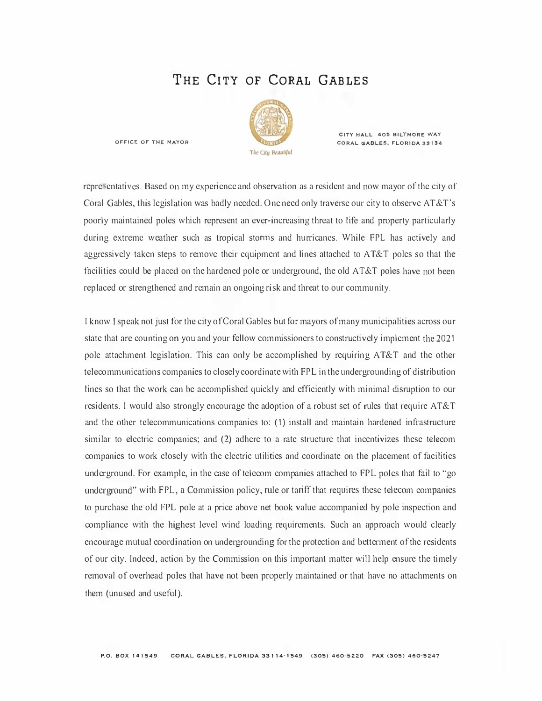## **THE CITY OF CORAL GABLES**



**CITY HALL 405 BILTMORE WAY OFFICE OF THE MAYOR CORAL GABLES, FLORIOA 33134** 

rcpre entativcs. Based on my experience and observation as a resident and now mayor of the city of Coral Gables, this legislation was badly needed. One need only traverse our city to observe AT&T's poorly maintained poles which represent an ever-increasing threat to life and property particularly during extreme weather such as tropical storms and hurricanes. While FPL has actively and aggressively taken steps to remove their equipment and lines attached to AT&T poles so that the facilities could be placed on the hardened pole or underground, the old AT&T poles have not been replaced or strengthened and remain an ongoing risk and threat to our community.

l know I speak not just for the city of Coral Gables but for mayors of many municipalities across our state that are counting on you and your fellow commissioners to constructively implement the 2021 pole attachment legislation. This can only be accomplished by requiring AT&T and the other telecommunications companies to closely coordinate with FPL in the undergrounding of distribution lines so that the work can be accomplished quickly and efficiently with minimal disruption to our residents. I would also strongly encourage the adoption of a robust set of rules that require AT&T and the other telecommunications companies to: (1) install and maintain hardened infrastructure similar to electric companies; and (2) adhere to a rate structure that incentivizes these telecom companies to work closely with the electric utilities and coordinate on the placement of facilities underground. For example, in the case of telecom companies attached to FPL poles that fail to "go underground" with FPL, a Commission policy, rule or tariff that requires these telecom companies to purchase the old FPL pole at a price above net book value accompanied by pole inspection and compliance with the highest level wind loading requirements. Such an approach would clearly encourage mutual coordination on undergrounding for the protection and betterment of the residents of our city. Indeed, action by the Commission on this important matter will help ensure the timely removal of overhead poles that have not been properly maintained or that have no attachments on them (unused and useful).